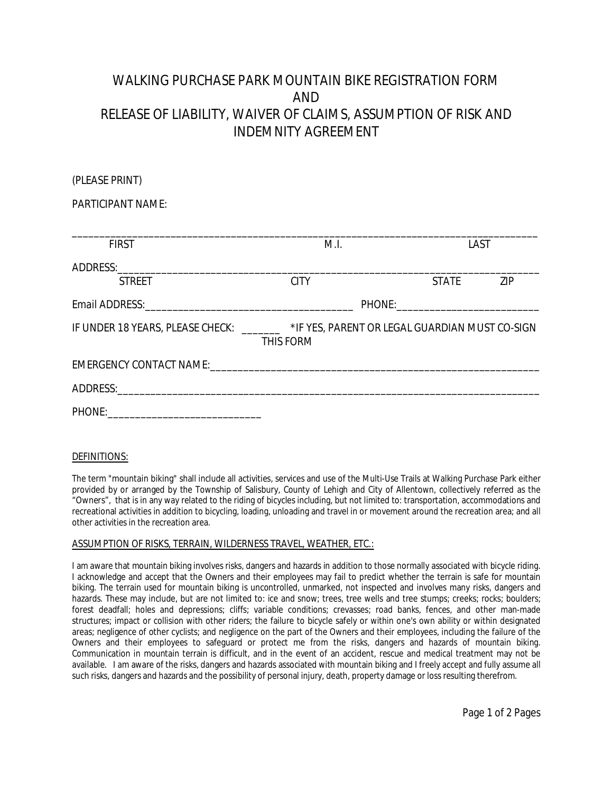## **WALKING PURCHASE PARK MOUNTAIN BIKE REGISTRATION FORM AND RELEASE OF LIABILITY, WAIVER OF CLAIMS, ASSUMPTION OF RISK AND INDEMNITY AGREEMENT**

| PARTICIPANT NAME: |                                                                                                      |              |     |
|-------------------|------------------------------------------------------------------------------------------------------|--------------|-----|
| <b>FIRST</b>      | M.L                                                                                                  | TAST.        |     |
| <b>STREET</b>     | CITY.                                                                                                | <b>STATE</b> | 71P |
|                   |                                                                                                      |              |     |
|                   | IF UNDER 18 YEARS, PLEASE CHECK: _______ *IF YES, PARENT OR LEGAL GUARDIAN MUST CO-SIGN<br>THIS FORM |              |     |
|                   |                                                                                                      |              |     |
|                   |                                                                                                      |              |     |
|                   |                                                                                                      |              |     |

## **DEFINITIONS:**

**(PLEASE PRINT)**

The term "**mountain biking**" shall include all activities, services and use of the Multi-Use Trails at Walking Purchase Park either provided by or arranged by the Township of Salisbury, County of Lehigh and City of Allentown, collectively referred as the "**Owners**", that is in any way related to the riding of bicycles including, but not limited to: transportation, accommodations and recreational activities in addition to bicycling, loading, unloading and travel in or movement around the recreation area; and all other activities in the recreation area.

## **ASSUMPTION OF RISKS, TERRAIN, WILDERNESS TRAVEL, WEATHER, ETC.:**

I am aware that mountain biking involves risks, dangers and hazards in addition to those normally associated with bicycle riding. I acknowledge and accept that the Owners and their employees may fail to predict whether the terrain is safe for mountain biking. The terrain used for mountain biking is uncontrolled, unmarked, not inspected and involves many risks, dangers and hazards. These may include, but are not limited to: ice and snow; trees, tree wells and tree stumps; creeks; rocks; boulders; forest deadfall; holes and depressions; cliffs; variable conditions; crevasses; road banks, fences, and other man-made structures; impact or collision with other riders; the failure to bicycle safely or within one's own ability or within designated areas; negligence of other cyclists; and negligence on the part of the Owners and their employees, including the failure of the Owners and their employees to safeguard or protect me from the risks, dangers and hazards of mountain biking. Communication in mountain terrain is difficult, and in the event of an accident, rescue and medical treatment may not be available. I am aware of the risks, dangers and hazards associated with mountain biking and I freely accept and fully assume all such risks, dangers and hazards and the possibility of personal injury, death, property damage or loss resulting therefrom.